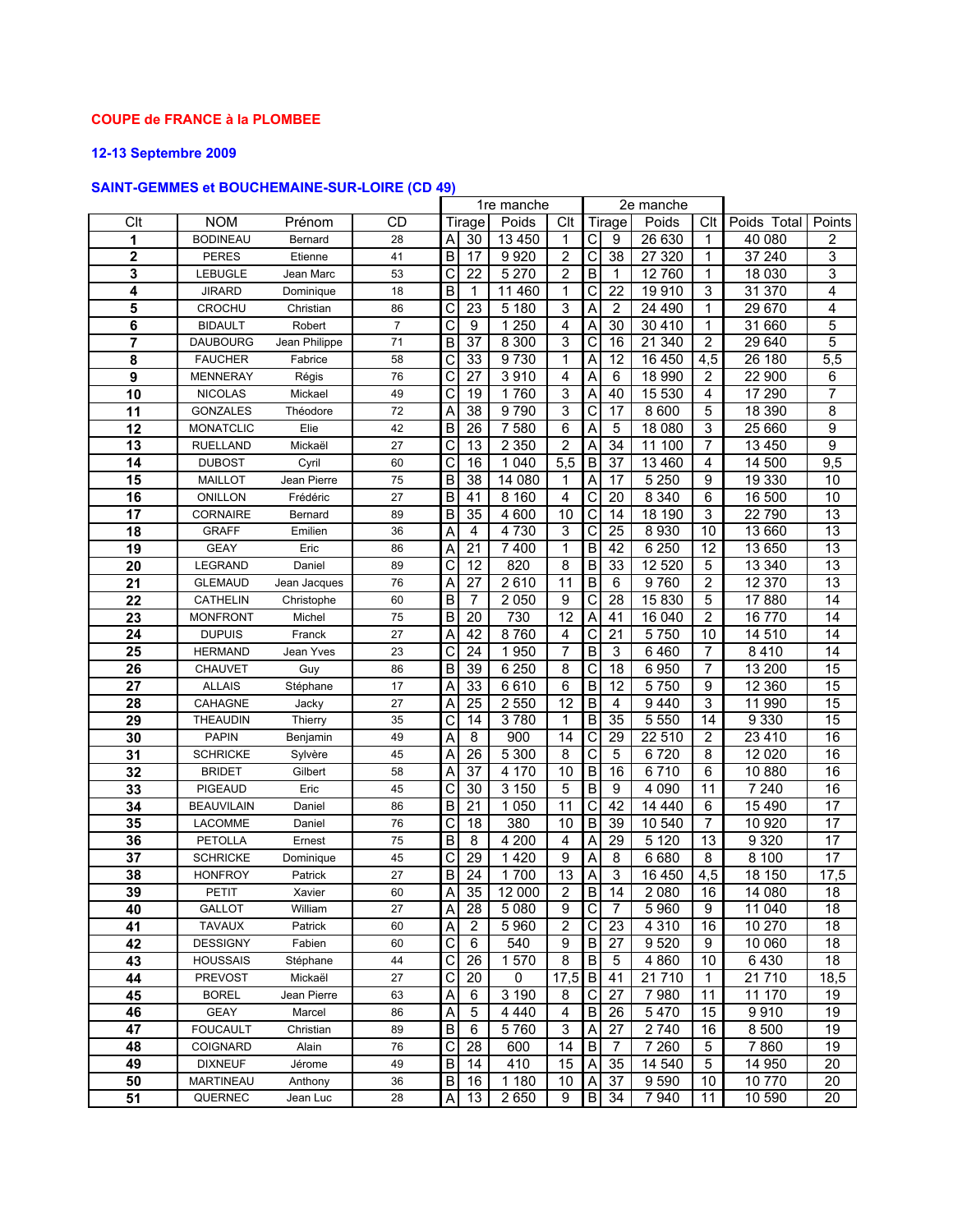#### COUPE de FRANCE à la PLOMBEE

## 12-13 Septembre 2009

# SAINT-GEMMES et BOUCHEMAINE-SUR-LOIRE (CD 49)

|                 |                   |               |           | 1re manche |                 |         |                 |                |                | 2e manche |                  |             |                 |
|-----------------|-------------------|---------------|-----------|------------|-----------------|---------|-----------------|----------------|----------------|-----------|------------------|-------------|-----------------|
| Clt             | <b>NOM</b>        | Prénom        | <b>CD</b> |            | Tirage          | Poids   | Clt             |                | Tirage         | Poids     | Clt              | Poids Total | Points          |
| 1               | <b>BODINEAU</b>   | Bernard       | 28        | Α          | 30              | 13 450  | 1               | С              | 9              | 26 630    | 1                | 40 080      | 2               |
| $\mathbf 2$     | <b>PERES</b>      | Etienne       | 41        | B          | 17              | 9920    | $\overline{2}$  | C              | 38             | 27 3 20   | 1                | 37 240      | 3               |
| 3               | <b>LEBUGLE</b>    | Jean Marc     | 53        | C          | 22              | 5 2 7 0 | $\overline{2}$  | B              | $\mathbf{1}$   | 12760     | 1                | 18 0 30     | 3               |
| 4               | <b>JIRARD</b>     | Dominique     | 18        | B          | 1               | 11 460  | 1               | С              | 22             | 19910     | 3                | 31 370      | 4               |
| 5               | <b>CROCHU</b>     | Christian     | 86        | С          | 23              | 5 1 8 0 | 3               | A              | $\overline{2}$ | 24 490    | 1                | 29 670      | 4               |
| 6               | <b>BIDAULT</b>    | Robert        | 7         | C          | 9               | 1 2 5 0 | 4               | A              | 30             | 30 410    | 1                | 31 660      | 5               |
| 7               | <b>DAUBOURG</b>   | Jean Philippe | 71        | B          | 37              | 8 3 0 0 | 3               | С              | 16             | 21 340    | 2                | 29 640      | 5               |
| 8               | <b>FAUCHER</b>    | Fabrice       | 58        | С          | 33              | 9730    | 1               | A              | 12             | 16 450    | 4,5              | 26 180      | 5,5             |
| 9               | <b>MENNERAY</b>   | Régis         | 76        | С          | 27              | 3910    | 4               | Α              | 6              | 18 990    | $\overline{c}$   | 22 900      | 6               |
| $\overline{10}$ | <b>NICOLAS</b>    | Mickael       | 49        | C          | 19              | 1760    | 3               | Α              | 40             | 15 530    | 4                | 17 290      | 7               |
| 11              | <b>GONZALES</b>   | Théodore      | 72        | A          | 38              | 9790    | 3               | C              | 17             | 8 6 0 0   | 5                | 18 390      | 8               |
| 12              | <b>MONATCLIC</b>  | Elie          | 42        | В          | 26              | 7580    | 6               | A              | 5              | 18 080    | 3                | 25 660      | 9               |
| 13              | <b>RUELLAND</b>   | Mickaël       | 27        | С          | 13              | 2 3 5 0 | $\overline{2}$  | Α              | 34             | 100<br>11 | 7                | 13 4 50     | 9               |
| 14              | <b>DUBOST</b>     | Cyril         | 60        | C          | 16              | 1 0 4 0 | 5,5             | B              | 37             | 13 4 60   | 4                | 14 500      | 9,5             |
| 15              | <b>MAILLOT</b>    | Jean Pierre   | 75        | В          | 38              | 14 080  | 1               | Α              | 17             | 5 2 5 0   | 9                | 19 330      | 10              |
| 16              | <b>ONILLON</b>    | Frédéric      | 27        | B          | 41              | 8 1 6 0 | 4               | C              | 20             | 8 3 4 0   | 6                | 16 500      | 10              |
| 17              | <b>CORNAIRE</b>   | Bernard       | 89        | B          | 35              | 4 600   | 10              | C              | 14             | 18 190    | 3                | 22 790      | $\overline{13}$ |
| 18              | <b>GRAFF</b>      | Emilien       | 36        | A          | 4               | 4 7 3 0 | 3               | $\mathsf{C}$   | 25             | 8930      | 10               | 13 660      | 13              |
| 19              | <b>GEAY</b>       | Eric          | 86        | Α          | 21              | 7400    | 1               | B              | 42             | 6 2 5 0   | 12               | 13 650      | 13              |
| 20              | LEGRAND           | Daniel        | 89        | C          | 12              | 820     | 8               | В              | 33             | 12 5 20   | 5                | 13 340      | 13              |
| 21              | <b>GLEMAUD</b>    | Jean Jacques  | 76        | Α          | 27              | 2610    | 11              | $\sf B$        | 6              | 9760      | $\boldsymbol{2}$ | 12 370      | 13              |
| 22              | <b>CATHELIN</b>   | Christophe    | 60        | B          | 7               | 2 0 5 0 | 9               | С              | 28             | 15830     | 5                | 17880       | 14              |
| 23              | <b>MONFRONT</b>   | Michel        | 75        | B          | 20              | 730     | 12              | A              | 41             | 16 040    | $\overline{c}$   | 16 770      | 14              |
| 24              | <b>DUPUIS</b>     | Franck        | 27        | A          | 42              | 8760    | $\overline{4}$  | $\overline{C}$ | 21             | 5750      | 10               | 14 510      | $\overline{14}$ |
| 25              | <b>HERMAND</b>    | Jean Yves     | 23        | C          | 24              | 1950    | $\overline{7}$  | $\overline{B}$ | 3              | 6460      | 7                | 8410        | 14              |
| 26              | CHAUVET           | Guy           | 86        | B          | 39              | 6 2 5 0 | 8               | С              | 18             | 6950      | 7                | 13 200      | 15              |
| 27              | <b>ALLAIS</b>     | Stéphane      | 17        | Α          | 33              | 6610    | 6               | В              | 12             | 5750      | 9                | 12 360      | 15              |
| 28              | CAHAGNE           | Jacky         | 27        | Α          | 25              | 2 5 5 0 | 12              | B              | 4              | 9440      | 3                | 11 990      | 15              |
| 29              | <b>THEAUDIN</b>   | Thierry       | 35        | C          | 14              | 3780    | 1               | $\overline{B}$ | 35             | 5 5 5 0   | 14               | 9 3 3 0     | 15              |
| 30              | <b>PAPIN</b>      | Benjamin      | 49        | Α          | 8               | 900     | 14              | $\mathsf{C}$   | 29             | 22 510    | $\overline{c}$   | 23 4 10     | 16              |
| 31              | <b>SCHRICKE</b>   | Sylvère       | 45        | Α          | 26              | 5 3 0 0 | 8               | C              | 5              | 6720      | 8                | 12 0 20     | 16              |
| 32              | <b>BRIDET</b>     | Gilbert       | 58        | Α          | 37              | 4 170   | 10              | B              | 16             | 6710      | 6                | 10 880      | 16              |
| 33              | <b>PIGEAUD</b>    | Eric          | 45        | С          | 30              | 3 1 5 0 | 5               | $\overline{B}$ | 9              | 4 0 9 0   | 11               | 7 2 4 0     | 16              |
| 34              | <b>BEAUVILAIN</b> | Daniel        | 86        | $\sf B$    | $\overline{21}$ | 1 0 5 0 | 11              | $\overline{C}$ | 42             | 14 440    | 6                | 15 4 90     | 17              |
| 35              | <b>LACOMME</b>    | Daniel        | 76        | C          | 18              | 380     | 10              | $\overline{B}$ | 39             | 10 540    | $\overline{7}$   | 10 920      | $\overline{17}$ |
| 36              | <b>PETOLLA</b>    | Ernest        | 75        | B          | 8               | 4 200   | 4               | Α              | 29             | 5120      | 13               | 9320        | $\overline{17}$ |
| 37              | <b>SCHRICKE</b>   | Dominique     | 45        | C          | 29              | 1420    | 9               | A              | 8              | 6680      | $\overline{8}$   | 8 100       | $\overline{17}$ |
| 38              | <b>HONFROY</b>    | Patrick       | 27        | B          | 24              | 1700    | $\overline{13}$ | Α              | 3              | 16 450    | 4,5              | 18 150      | 17,5            |
| 39              | PETIT             | Xavier        | 60        | А          | 35              | 12 000  | $\overline{2}$  | B              | 14             | 2 0 8 0   | 16               | 14 080      | 18              |
| 40              | <b>GALLOT</b>     | William       | 27        | Α          | 28              | 5 0 8 0 | 9               | $\overline{C}$ | 7              | 5960      | 9                | 11 040      | 18              |
| 41              | <b>TAVAUX</b>     | Patrick       | 60        | Α          | $\overline{2}$  | 5960    | 2               | С              | 23             | 4 3 1 0   | 16               | 10 270      | 18              |
| 42              | <b>DESSIGNY</b>   | Fabien        | 60        | С          | 6               | 540     | 9               | B              | 27             | 9520      | 9                | 10 060      | 18              |
| 43              | <b>HOUSSAIS</b>   | Stéphane      | 44        | C          | 26              | 1570    | 8               | B              | 5              | 4 8 6 0   | 10               | 6430        | 18              |
| 44              | <b>PREVOST</b>    | Mickaël       | 27        | С          | 20              | 0       | 17,5            | B              | 41             | 21710     | 1                | 21710       | 18,5            |
| 45              | <b>BOREL</b>      | Jean Pierre   | 63        | Α          | 6               | 3 1 9 0 | 8               | C              | 27             | 7980      | 11               | 11 170      | 19              |
| 46              | <b>GEAY</b>       | Marcel        | 86        | Α          | 5               | 4 4 4 0 | 4               | B              | 26             | 5470      | 15               | 9910        | 19              |
| 47              | <b>FOUCAULT</b>   | Christian     | 89        | В          | 6               | 5760    | 3               | Α              | 27             | 2740      | 16               | 8 500       | 19              |
| 48              | <b>COIGNARD</b>   | Alain         | 76        | С          | 28              | 600     | 14              | $\sf B$        | 7              | 7 2 6 0   | 5                | 7860        | 19              |
| 49              | <b>DIXNEUF</b>    | Jérome        | 49        | В          | 14              | 410     | 15              | A              | 35             | 14 540    | 5                | 14 950      | 20              |
| 50              | <b>MARTINEAU</b>  | Anthony       | 36        | В          | 16              | 1 1 8 0 | 10              | Α              | 37             | 9 5 9 0   | 10               | 10770       | 20              |
| 51              | QUERNEC           | Jean Luc      | 28        | Α          | 13              | 2650    | 9               | B              | 34             | 7940      | 11               | 10 590      | 20              |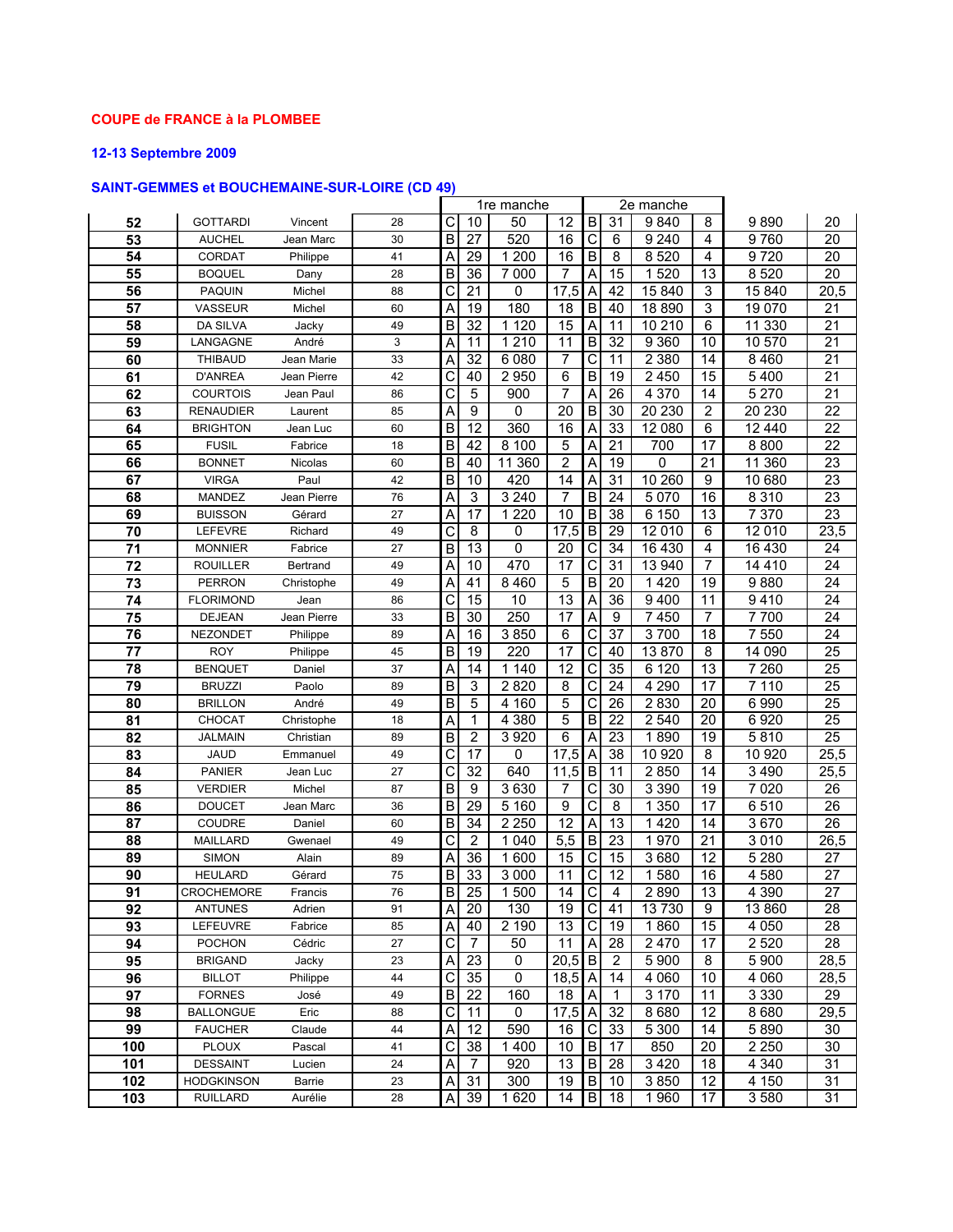#### COUPE de FRANCE à la PLOMBEE

## 12-13 Septembre 2009

# SAINT-GEMMES et BOUCHEMAINE-SUR-LOIRE (CD 49)

|                 |                   |             |    | 1re manche |                 |         |                 |                         | 2e manche               |         |                 |         |                 |
|-----------------|-------------------|-------------|----|------------|-----------------|---------|-----------------|-------------------------|-------------------------|---------|-----------------|---------|-----------------|
| 52              | <b>GOTTARDI</b>   | Vincent     | 28 | С          | 10              | 50      | 12              | B                       | 31                      | 9840    | 8               | 9890    | 20              |
| 53              | <b>AUCHEL</b>     | Jean Marc   | 30 | B          | $\overline{27}$ | 520     | 16              | С                       | 6                       | 9 2 4 0 | 4               | 9760    | 20              |
| 54              | <b>CORDAT</b>     | Philippe    | 41 | Α          | 29              | 1 200   | 16              | B                       | 8                       | 8520    | 4               | 9720    | 20              |
| 55              | <b>BOQUEL</b>     | Dany        | 28 | В          | 36              | 7 000   | 7               | Α                       | 15                      | 1520    | 13              | 8520    | $\overline{20}$ |
| 56              | <b>PAQUIN</b>     | Michel      | 88 | C          | 21              | 0       | 17,5            | A                       | 42                      | 15 840  | 3               | 15 840  | 20,5            |
| 57              | VASSEUR           | Michel      | 60 | Α          | 19              | 180     | 18              | $\sf B$                 | 40                      | 18 890  | 3               | 19 070  | 21              |
| 58              | <b>DA SILVA</b>   | Jacky       | 49 | B          | $\overline{32}$ | 1 1 2 0 | $\overline{15}$ | A                       | 11                      | 10 210  | 6               | 11 330  | $\overline{21}$ |
| 59              | LANGAGNE          | André       | 3  | Α          | 11              | 1 2 1 0 | 11              | B                       | 32                      | 9 3 6 0 | 10              | 10 570  | 21              |
| 60              | <b>THIBAUD</b>    | Jean Marie  | 33 | Α          | 32              | 6 0 8 0 | 7               | С                       | 11                      | 2 3 8 0 | 14              | 8 4 6 0 | 21              |
| 61              | <b>D'ANREA</b>    | Jean Pierre | 42 | C          | 40              | 2950    | 6               | $\overline{B}$          | 19                      | 2 4 5 0 | 15              | 5400    | $\overline{21}$ |
| 62              | <b>COURTOIS</b>   | Jean Paul   | 86 | C          | 5               | 900     | $\overline{7}$  | A                       | 26                      | 4 3 7 0 | 14              | 5 2 7 0 | 21              |
| 63              | <b>RENAUDIER</b>  | Laurent     | 85 | A          | 9               | 0       | $\overline{20}$ | $\overline{B}$          | 30                      | 20 230  | $\overline{2}$  | 20 230  | $\overline{22}$ |
| 64              | <b>BRIGHTON</b>   | Jean Luc    | 60 | B          | 12              | 360     | 16              | A                       | 33                      | 12 080  | 6               | 12440   | $\overline{22}$ |
| 65              | <b>FUSIL</b>      | Fabrice     | 18 | B          | 42              | 8 100   | 5               | Α                       | 21                      | 700     | 17              | 8800    | 22              |
| 66              | <b>BONNET</b>     | Nicolas     | 60 | В          | 40              | 11 360  | $\overline{c}$  | Α                       | 19                      | 0       | 21              | 11 360  | 23              |
| 67              | <b>VIRGA</b>      | Paul        | 42 | B          | 10              | 420     | 14              | Α                       | 31                      | 10 260  | 9               | 10 680  | 23              |
| 68              | MANDEZ            | Jean Pierre | 76 | Α          | 3               | 3 2 4 0 | $\overline{7}$  | $\overline{B}$          | 24                      | 5 0 7 0 | 16              | 8 3 1 0 | 23              |
| 69              | <b>BUISSON</b>    | Gérard      | 27 | Α          | $\overline{17}$ | 1 2 2 0 | $\overline{10}$ | $\overline{B}$          | 38                      | 6 150   | 13              | 7 3 7 0 | 23              |
| 70              | <b>LEFEVRE</b>    | Richard     | 49 | C          | 8               | 0       | 17,5            | B                       | 29                      | 12 010  | 6               | 12 010  | 23,5            |
| 71              | <b>MONNIER</b>    | Fabrice     | 27 | B          | 13              | 0       | 20              | С                       | 34                      | 16 430  | 4               | 16 4 30 | 24              |
| 72              | <b>ROUILLER</b>   | Bertrand    | 49 | Α          | 10              | 470     | 17              | С                       | 31                      | 13 940  | 7               | 14 4 10 | 24              |
| $\overline{73}$ | <b>PERRON</b>     | Christophe  | 49 | Α          | 41              | 8 4 6 0 | 5               | $\mathsf B$             | 20                      | 1420    | 19              | 9880    | 24              |
| 74              | <b>FLORIMOND</b>  | Jean        | 86 | C          | 15              | 10      | $\overline{13}$ | Α                       | 36                      | 9400    | 11              | 9410    | 24              |
| 75              | <b>DEJEAN</b>     | Jean Pierre | 33 | B          | 30              | 250     | 17              | Α                       | 9                       | 7450    | $\overline{7}$  | 7700    | 24              |
| 76              | <b>NEZONDET</b>   | Philippe    | 89 | Α          | 16              | 3850    | 6               | C                       | 37                      | 3700    | 18              | 7 550   | $\overline{24}$ |
| 77              | <b>ROY</b>        | Philippe    | 45 | B          | 19              | 220     | $\overline{17}$ | С                       | 40                      | 13870   | 8               | 14 090  | $\overline{25}$ |
| 78              | <b>BENQUET</b>    | Daniel      | 37 | Α          | 14              | 1 140   | 12              | С                       | 35                      | 6 1 2 0 | 13              | 7 2 6 0 | 25              |
| 79              | <b>BRUZZI</b>     | Paolo       | 89 | В          | 3               | 2820    | 8               | С                       | 24                      | 4 2 9 0 | 17              | 7 1 1 0 | 25              |
| 80              | <b>BRILLON</b>    | André       | 49 | B          | 5               | 4 160   | 5               | С                       | 26                      | 2830    | 20              | 6990    | $\overline{25}$ |
| 81              | <b>CHOCAT</b>     | Christophe  | 18 | Α          | 1               | 4 3 8 0 | 5               | B                       | 22                      | 2 5 4 0 | 20              | 6920    | $\overline{25}$ |
| 82              | <b>JALMAIN</b>    | Christian   | 89 | B          | $\overline{c}$  | 3920    | 6               | Α                       | 23                      | 1890    | 19              | 5810    | 25              |
| 83              | <b>JAUD</b>       | Emmanuel    | 49 | С          | 17              | 0       | 17,5            | A                       | 38                      | 10 920  | 8               | 10 920  | 25,5            |
| 84              | <b>PANIER</b>     | Jean Luc    | 27 | C          | 32              | 640     | 11,5            | B                       | 11                      | 2850    | 14              | 3 4 9 0 | 25,5            |
| 85              | VERDIER           | Michel      | 87 | В          | 9               | 3630    | 7               | C                       | 30                      | 3 3 9 0 | 19              | 7 0 20  | 26              |
| 86              | <b>DOUCET</b>     | Jean Marc   | 36 | B          | 29              | 5 1 6 0 | 9               | С                       | 8                       | 1 3 5 0 | 17              | 6510    | $\overline{26}$ |
| 87              | <b>COUDRE</b>     | Daniel      | 60 | B          | 34              | 2 2 5 0 | 12              | A                       | 13                      | 1420    | 14              | 3670    | 26              |
| 88              | <b>MAILLARD</b>   | Gwenael     | 49 | C          | $\overline{2}$  | 1 0 4 0 | 5,5             | B                       | 23                      | 1970    | $\overline{21}$ | 3010    | 26,5            |
| 89              | <b>SIMON</b>      | Alain       | 89 | Α          | 36              | 1600    | 15              | С                       | 15                      | 3680    | 12              | 5 2 8 0 | $\overline{27}$ |
| 90              | <b>HEULARD</b>    | Gérard      | 75 | B          | 33              | 3 0 0 0 | 11              | С                       | 12                      | 1580    | 16              | 4580    | 27              |
| 91              | <b>CROCHEMORE</b> | Francis     | 76 | B          | 25              | 1 500   | 14              | $\mathsf{C}$            | $\overline{\mathbf{4}}$ | 2890    | 13              | 4 3 9 0 | 27              |
| 92              | <b>ANTUNES</b>    | Adrien      | 91 | Α          | 20              | 130     | 19              | $\overline{C}$          | 41                      | 13730   | 9               | 13860   | 28              |
| 93              | <b>LEFEUVRE</b>   | Fabrice     | 85 | Α          | 40              | 2 190   | 13              | $\overline{\mathsf{C}}$ | 19                      | 1860    | 15              | 4 0 5 0 | 28              |
| 94              | <b>POCHON</b>     | Cédric      | 27 | С          | $\overline{7}$  | 50      | 11              | Α                       | 28                      | 2 4 7 0 | 17              | 2 5 20  | $\overline{28}$ |
| 95              | <b>BRIGAND</b>    | Jacky       | 23 | Α          | 23              | 0       | 20,5            | $\, {\bf B}$            | 2                       | 5 9 0 0 | 8               | 5 900   | 28,5            |
| 96              | <b>BILLOT</b>     | Philippe    | 44 | С          | 35              | 0       | 18,5            | A                       | 14                      | 4 0 6 0 | 10              | 4 0 6 0 | 28,5            |
| 97              | <b>FORNES</b>     | José        | 49 | B          | 22              | 160     | 18              | A                       | 1                       | 3 1 7 0 | 11              | 3 3 3 0 | 29              |
| 98              | <b>BALLONGUE</b>  | Eric        | 88 | C          | 11              | 0       | 17,5            | A                       | 32                      | 8680    | 12              | 8680    | 29,5            |
| 99              | <b>FAUCHER</b>    | Claude      | 44 | Α          | 12              | 590     | 16              | C                       | 33                      | 5 3 0 0 | 14              | 5890    | 30              |
| 100             | <b>PLOUX</b>      | Pascal      | 41 | С          | 38              | 1400    | 10              | $\sf B$                 | 17                      | 850     | 20              | 2 2 5 0 | 30              |
| 101             | <b>DESSAINT</b>   | Lucien      | 24 | Α          | $\overline{7}$  | 920     | 13              | B                       | 28                      | 3 4 2 0 | 18              | 4 3 4 0 | 31              |
| 102             | <b>HODGKINSON</b> | Barrie      | 23 | Α          | 31              | 300     | 19              | B                       | 10                      | 3850    | 12              | 4 150   | 31              |
| 103             | <b>RUILLARD</b>   | Aurélie     | 28 | Α          | 39              | 1620    | 14              | В                       | 18                      | 1960    | 17              | 3580    | 31              |